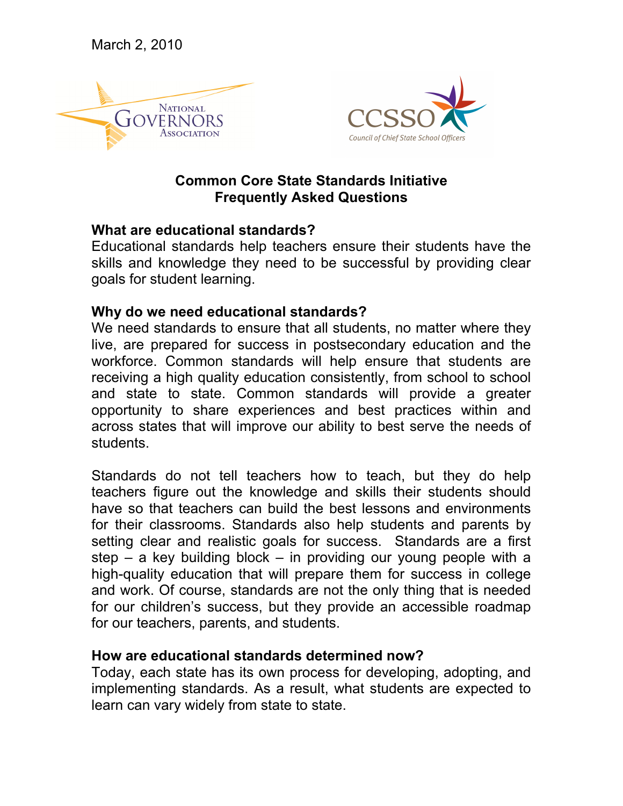March 2, 2010





# **Common Core State Standards Initiative Frequently Asked Questions**

#### **What are educational standards?**

Educational standards help teachers ensure their students have the skills and knowledge they need to be successful by providing clear goals for student learning.

### **Why do we need educational standards?**

We need standards to ensure that all students, no matter where they live, are prepared for success in postsecondary education and the workforce. Common standards will help ensure that students are receiving a high quality education consistently, from school to school and state to state. Common standards will provide a greater opportunity to share experiences and best practices within and across states that will improve our ability to best serve the needs of students.

Standards do not tell teachers how to teach, but they do help teachers figure out the knowledge and skills their students should have so that teachers can build the best lessons and environments for their classrooms. Standards also help students and parents by setting clear and realistic goals for success. Standards are a first step  $-$  a key building block  $-$  in providing our young people with a high-quality education that will prepare them for success in college and work. Of course, standards are not the only thing that is needed for our children's success, but they provide an accessible roadmap for our teachers, parents, and students.

### **How are educational standards determined now?**

Today, each state has its own process for developing, adopting, and implementing standards. As a result, what students are expected to learn can vary widely from state to state.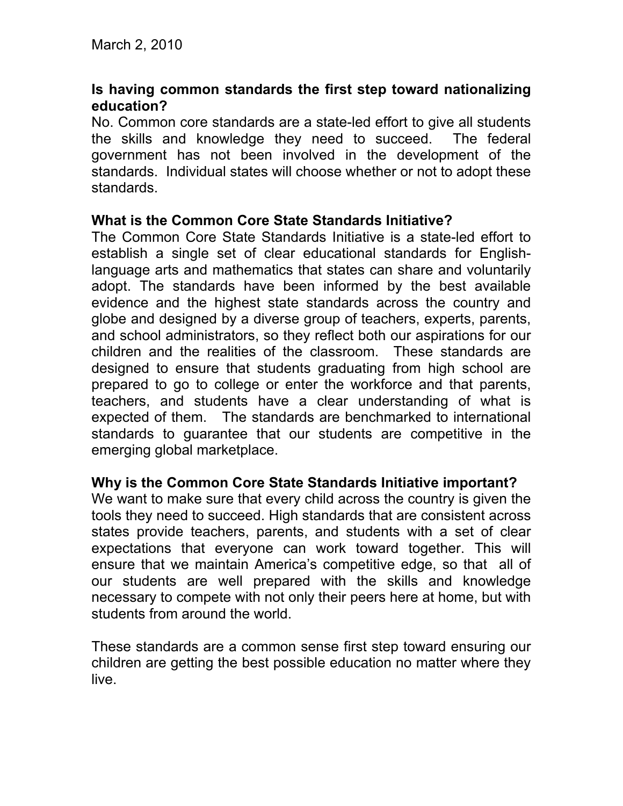### **Is having common standards the first step toward nationalizing education?**

No. Common core standards are a state-led effort to give all students the skills and knowledge they need to succeed. The federal government has not been involved in the development of the standards. Individual states will choose whether or not to adopt these standards.

#### **What is the Common Core State Standards Initiative?**

The Common Core State Standards Initiative is a state-led effort to establish a single set of clear educational standards for Englishlanguage arts and mathematics that states can share and voluntarily adopt. The standards have been informed by the best available evidence and the highest state standards across the country and globe and designed by a diverse group of teachers, experts, parents, and school administrators, so they reflect both our aspirations for our children and the realities of the classroom. These standards are designed to ensure that students graduating from high school are prepared to go to college or enter the workforce and that parents, teachers, and students have a clear understanding of what is expected of them. The standards are benchmarked to international standards to guarantee that our students are competitive in the emerging global marketplace.

### **Why is the Common Core State Standards Initiative important?**

We want to make sure that every child across the country is given the tools they need to succeed. High standards that are consistent across states provide teachers, parents, and students with a set of clear expectations that everyone can work toward together. This will ensure that we maintain America's competitive edge, so that all of our students are well prepared with the skills and knowledge necessary to compete with not only their peers here at home, but with students from around the world.

These standards are a common sense first step toward ensuring our children are getting the best possible education no matter where they live.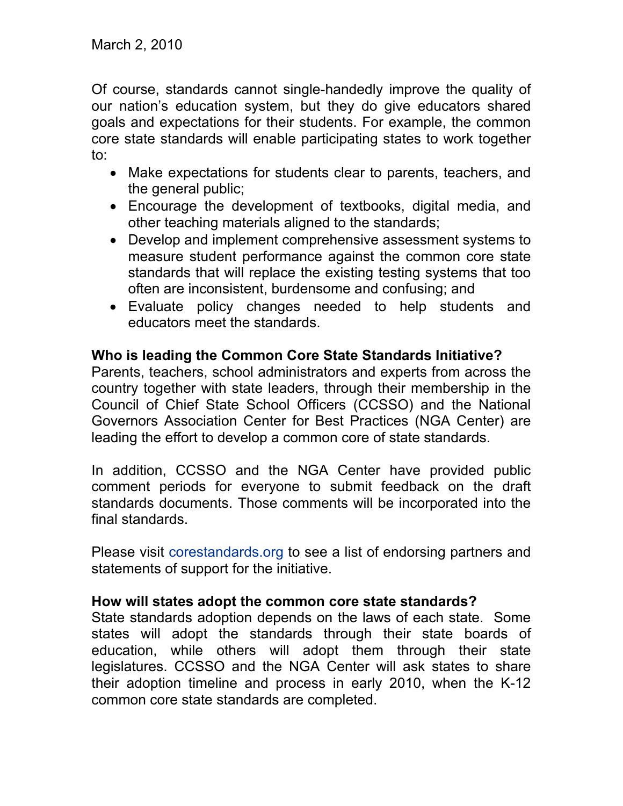Of course, standards cannot single-handedly improve the quality of our nation's education system, but they do give educators shared goals and expectations for their students. For example, the common core state standards will enable participating states to work together to:

- Make expectations for students clear to parents, teachers, and the general public;
- Encourage the development of textbooks, digital media, and other teaching materials aligned to the standards;
- Develop and implement comprehensive assessment systems to measure student performance against the common core state standards that will replace the existing testing systems that too often are inconsistent, burdensome and confusing; and
- Evaluate policy changes needed to help students and educators meet the standards.

# **Who is leading the Common Core State Standards Initiative?**

Parents, teachers, school administrators and experts from across the country together with state leaders, through their membership in the Council of Chief State School Officers (CCSSO) and the National Governors Association Center for Best Practices (NGA Center) are leading the effort to develop a common core of state standards.

In addition, CCSSO and the NGA Center have provided public comment periods for everyone to submit feedback on the draft standards documents. Those comments will be incorporated into the final standards.

Please visit [corestandards.org](http://www.corestandards.org/) to see a list of endorsing partners and statements of support for the initiative.

# **How will states adopt the common core state standards?**

State standards adoption depends on the laws of each state. Some states will adopt the standards through their state boards of education, while others will adopt them through their state legislatures. CCSSO and the NGA Center will ask states to share their adoption timeline and process in early 2010, when the K-12 common core state standards are completed.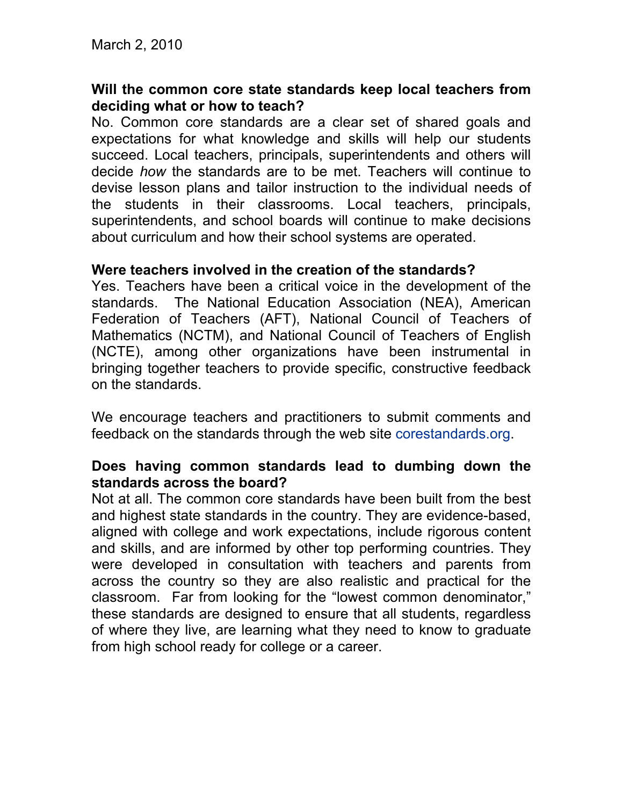#### **Will the common core state standards keep local teachers from deciding what or how to teach?**

No. Common core standards are a clear set of shared goals and expectations for what knowledge and skills will help our students succeed. Local teachers, principals, superintendents and others will decide *how* the standards are to be met. Teachers will continue to devise lesson plans and tailor instruction to the individual needs of the students in their classrooms. Local teachers, principals, superintendents, and school boards will continue to make decisions about curriculum and how their school systems are operated.

#### **Were teachers involved in the creation of the standards?**

Yes. Teachers have been a critical voice in the development of the standards. The National Education Association (NEA), American Federation of Teachers (AFT), National Council of Teachers of Mathematics (NCTM), and National Council of Teachers of English (NCTE), among other organizations have been instrumental in bringing together teachers to provide specific, constructive feedback on the standards.

We encourage teachers and practitioners to submit comments and feedback on the standards through the web site [corestandards.org.](http://www.corestandards.org/)

### **Does having common standards lead to dumbing down the standards across the board?**

Not at all. The common core standards have been built from the best and highest state standards in the country. They are evidence-based, aligned with college and work expectations, include rigorous content and skills, and are informed by other top performing countries. They were developed in consultation with teachers and parents from across the country so they are also realistic and practical for the classroom. Far from looking for the "lowest common denominator," these standards are designed to ensure that all students, regardless of where they live, are learning what they need to know to graduate from high school ready for college or a career.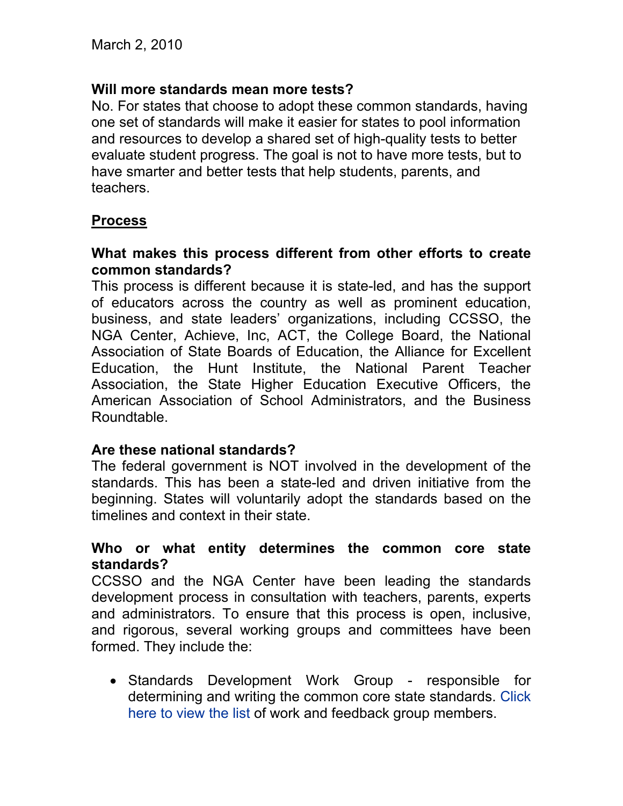### **Will more standards mean more tests?**

No. For states that choose to adopt these common standards, having one set of standards will make it easier for states to pool information and resources to develop a shared set of high-quality tests to better evaluate student progress. The goal is not to have more tests, but to have smarter and better tests that help students, parents, and teachers.

### **Process**

#### **What makes this process different from other efforts to create common standards?**

This process is different because it is state-led, and has the support of educators across the country as well as prominent education, business, and state leaders' organizations, including CCSSO, the NGA Center, Achieve, Inc, ACT, the College Board, the National Association of State Boards of Education, the Alliance for Excellent Education, the Hunt Institute, the National Parent Teacher Association, the State Higher Education Executive Officers, the American Association of School Administrators, and the Business Roundtable.

### **Are these national standards?**

The federal government is NOT involved in the development of the standards. This has been a state-led and driven initiative from the beginning. States will voluntarily adopt the standards based on the timelines and context in their state.

#### **Who or what entity determines the common core state standards?**

CCSSO and the NGA Center have been leading the standards development process in consultation with teachers, parents, experts and administrators. To ensure that this process is open, inclusive, and rigorous, several working groups and committees have been formed. They include the:

• Standards Development Work Group - responsible for determining and writing the common core state standards. [Click](http://www.corestandards.org/Files/K-12DevelopmentTeam.pdf)  [here to view the list](http://www.corestandards.org/Files/K-12DevelopmentTeam.pdf) of work and feedback group members.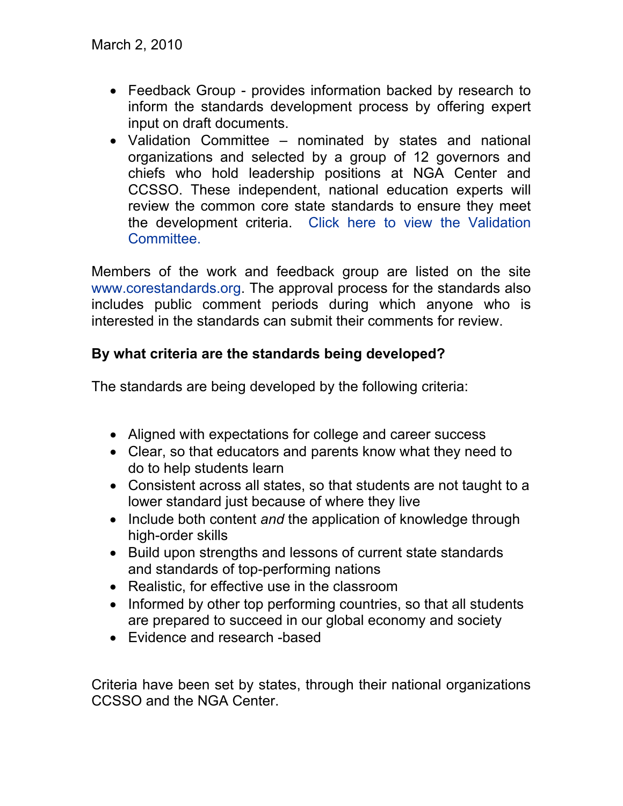- Feedback Group provides information backed by research to inform the standards development process by offering expert input on draft documents.
- Validation Committee nominated by states and national organizations and selected by a group of 12 governors and chiefs who hold leadership positions at NGA Center and CCSSO. These independent, national education experts will review the common core state standards to ensure they meet the development criteria. [Click here to view the Validation](http://www.nga.org/portal/site/nga/menuitem.be806d93bb5ee77eee28aca9501010a0/?vgnextoid=f541ea15a18e3210VgnVCM1000005e00100aRCRD&vgnextchannel=759b8f2005361010VgnVCM1000001a01010aRCRD&vgnextfmt=print)  [Committee.](http://www.nga.org/portal/site/nga/menuitem.be806d93bb5ee77eee28aca9501010a0/?vgnextoid=f541ea15a18e3210VgnVCM1000005e00100aRCRD&vgnextchannel=759b8f2005361010VgnVCM1000001a01010aRCRD&vgnextfmt=print)

Members of the work and feedback group are listed on the site [www.corestandards.org.](http://www.corestandards.org/) The approval process for the standards also includes public comment periods during which anyone who is interested in the standards can submit their comments for review.

# **By what criteria are the standards being developed?**

The standards are being developed by the following criteria:

- Aligned with expectations for college and career success
- Clear, so that educators and parents know what they need to do to help students learn
- Consistent across all states, so that students are not taught to a lower standard just because of where they live
- Include both content *and* the application of knowledge through high-order skills
- Build upon strengths and lessons of current state standards and standards of top-performing nations
- Realistic, for effective use in the classroom
- Informed by other top performing countries, so that all students are prepared to succeed in our global economy and society
- Evidence and research -based

Criteria have been set by states, through their national organizations CCSSO and the NGA Center.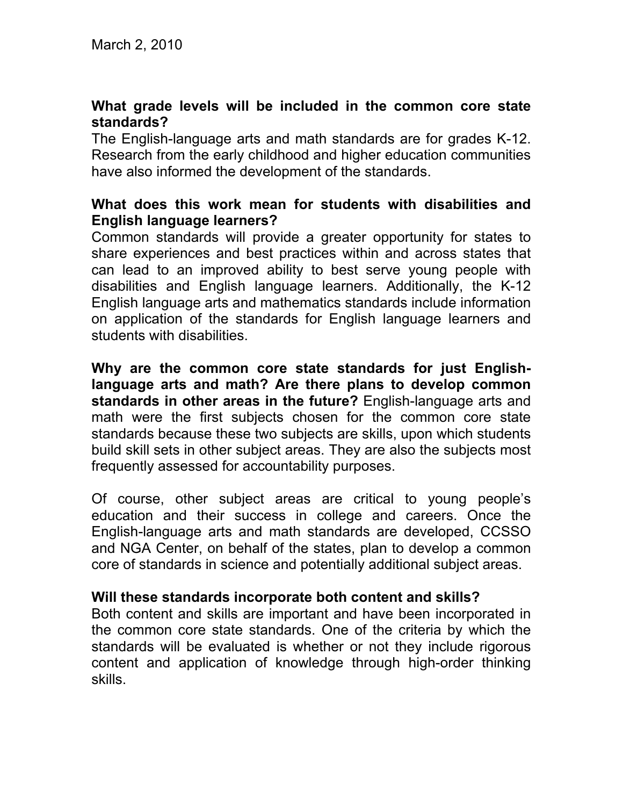### **What grade levels will be included in the common core state standards?**

The English-language arts and math standards are for grades K-12. Research from the early childhood and higher education communities have also informed the development of the standards.

#### **What does this work mean for students with disabilities and English language learners?**

Common standards will provide a greater opportunity for states to share experiences and best practices within and across states that can lead to an improved ability to best serve young people with disabilities and English language learners. Additionally, the K-12 English language arts and mathematics standards include information on application of the standards for English language learners and students with disabilities.

**Why are the common core state standards for just Englishlanguage arts and math? Are there plans to develop common standards in other areas in the future?** English-language arts and math were the first subjects chosen for the common core state standards because these two subjects are skills, upon which students build skill sets in other subject areas. They are also the subjects most frequently assessed for accountability purposes.

Of course, other subject areas are critical to young people's education and their success in college and careers. Once the English-language arts and math standards are developed, CCSSO and NGA Center, on behalf of the states, plan to develop a common core of standards in science and potentially additional subject areas.

### **Will these standards incorporate both content and skills?**

Both content and skills are important and have been incorporated in the common core state standards. One of the criteria by which the standards will be evaluated is whether or not they include rigorous content and application of knowledge through high-order thinking skills.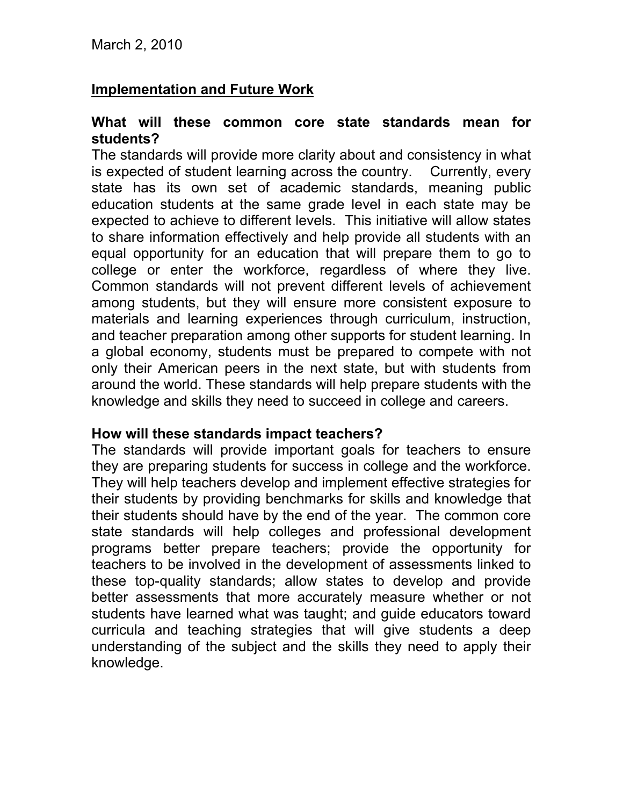### **Implementation and Future Work**

#### **What will these common core state standards mean for students?**

The standards will provide more clarity about and consistency in what is expected of student learning across the country. Currently, every state has its own set of academic standards, meaning public education students at the same grade level in each state may be expected to achieve to different levels. This initiative will allow states to share information effectively and help provide all students with an equal opportunity for an education that will prepare them to go to college or enter the workforce, regardless of where they live. Common standards will not prevent different levels of achievement among students, but they will ensure more consistent exposure to materials and learning experiences through curriculum, instruction, and teacher preparation among other supports for student learning. In a global economy, students must be prepared to compete with not only their American peers in the next state, but with students from around the world. These standards will help prepare students with the knowledge and skills they need to succeed in college and careers.

#### **How will these standards impact teachers?**

The standards will provide important goals for teachers to ensure they are preparing students for success in college and the workforce. They will help teachers develop and implement effective strategies for their students by providing benchmarks for skills and knowledge that their students should have by the end of the year. The common core state standards will help colleges and professional development programs better prepare teachers; provide the opportunity for teachers to be involved in the development of assessments linked to these top-quality standards; allow states to develop and provide better assessments that more accurately measure whether or not students have learned what was taught; and guide educators toward curricula and teaching strategies that will give students a deep understanding of the subject and the skills they need to apply their knowledge.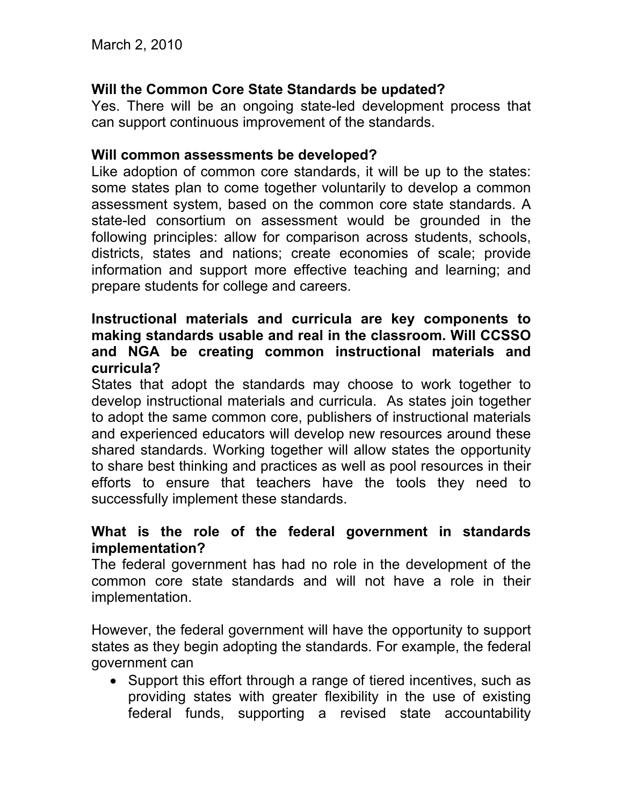# **Will the Common Core State Standards be updated?**

Yes. There will be an ongoing state-led development process that can support continuous improvement of the standards.

#### **Will common assessments be developed?**

Like adoption of common core standards, it will be up to the states: some states plan to come together voluntarily to develop a common assessment system, based on the common core state standards. A state-led consortium on assessment would be grounded in the following principles: allow for comparison across students, schools, districts, states and nations; create economies of scale; provide information and support more effective teaching and learning; and prepare students for college and careers.

### **Instructional materials and curricula are key components to making standards usable and real in the classroom. Will CCSSO and NGA be creating common instructional materials and curricula?**

States that adopt the standards may choose to work together to develop instructional materials and curricula. As states join together to adopt the same common core, publishers of instructional materials and experienced educators will develop new resources around these shared standards. Working together will allow states the opportunity to share best thinking and practices as well as pool resources in their efforts to ensure that teachers have the tools they need to successfully implement these standards.

### **What is the role of the federal government in standards implementation?**

The federal government has had no role in the development of the common core state standards and will not have a role in their implementation.

However, the federal government will have the opportunity to support states as they begin adopting the standards. For example, the federal government can

• Support this effort through a range of tiered incentives, such as providing states with greater flexibility in the use of existing federal funds, supporting a revised state accountability